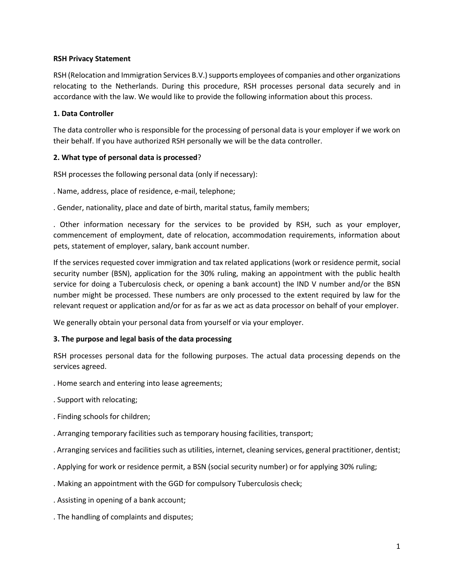### **RSH Privacy Statement**

RSH (Relocation and Immigration Services B.V.) supports employees of companies and other organizations relocating to the Netherlands. During this procedure, RSH processes personal data securely and in accordance with the law. We would like to provide the following information about this process.

## **1. Data Controller**

The data controller who is responsible for the processing of personal data is your employer if we work on their behalf. If you have authorized RSH personally we will be the data controller.

# **2. What type of personal data is processed**?

RSH processes the following personal data (only if necessary):

. Name, address, place of residence, e-mail, telephone;

. Gender, nationality, place and date of birth, marital status, family members;

. Other information necessary for the services to be provided by RSH, such as your employer, commencement of employment, date of relocation, accommodation requirements, information about pets, statement of employer, salary, bank account number.

If the services requested cover immigration and tax related applications (work or residence permit, social security number (BSN), application for the 30% ruling, making an appointment with the public health service for doing a Tuberculosis check, or opening a bank account) the IND V number and/or the BSN number might be processed. These numbers are only processed to the extent required by law for the relevant request or application and/or for as far as we act as data processor on behalf of your employer.

We generally obtain your personal data from yourself or via your employer.

# **3. The purpose and legal basis of the data processing**

RSH processes personal data for the following purposes. The actual data processing depends on the services agreed.

- . Home search and entering into lease agreements;
- . Support with relocating;
- . Finding schools for children;
- . Arranging temporary facilities such as temporary housing facilities, transport;
- . Arranging services and facilities such as utilities, internet, cleaning services, general practitioner, dentist;
- . Applying for work or residence permit, a BSN (social security number) or for applying 30% ruling;
- . Making an appointment with the GGD for compulsory Tuberculosis check;
- . Assisting in opening of a bank account;
- . The handling of complaints and disputes;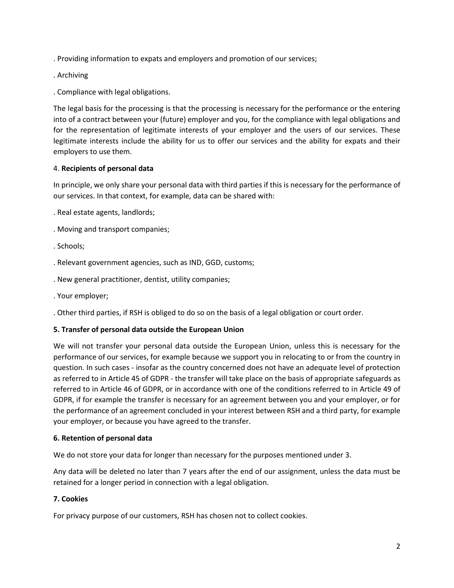. Providing information to expats and employers and promotion of our services;

- . Archiving
- . Compliance with legal obligations.

The legal basis for the processing is that the processing is necessary for the performance or the entering into of a contract between your (future) employer and you, for the compliance with legal obligations and for the representation of legitimate interests of your employer and the users of our services. These legitimate interests include the ability for us to offer our services and the ability for expats and their employers to use them.

## 4. **Recipients of personal data**

In principle, we only share your personal data with third parties if this is necessary for the performance of our services. In that context, for example, data can be shared with:

- . Real estate agents, landlords;
- . Moving and transport companies;
- . Schools;
- . Relevant government agencies, such as IND, GGD, customs;
- . New general practitioner, dentist, utility companies;
- . Your employer;
- . Other third parties, if RSH is obliged to do so on the basis of a legal obligation or court order.

### **5. Transfer of personal data outside the European Union**

We will not transfer your personal data outside the European Union, unless this is necessary for the performance of our services, for example because we support you in relocating to or from the country in question. In such cases - insofar as the country concerned does not have an adequate level of protection as referred to in Article 45 of GDPR - the transfer will take place on the basis of appropriate safeguards as referred to in Article 46 of GDPR, or in accordance with one of the conditions referred to in Article 49 of GDPR, if for example the transfer is necessary for an agreement between you and your employer, or for the performance of an agreement concluded in your interest between RSH and a third party, for example your employer, or because you have agreed to the transfer.

### **6. Retention of personal data**

We do not store your data for longer than necessary for the purposes mentioned under 3.

Any data will be deleted no later than 7 years after the end of our assignment, unless the data must be retained for a longer period in connection with a legal obligation.

### **7. Cookies**

For privacy purpose of our customers, RSH has chosen not to collect cookies.